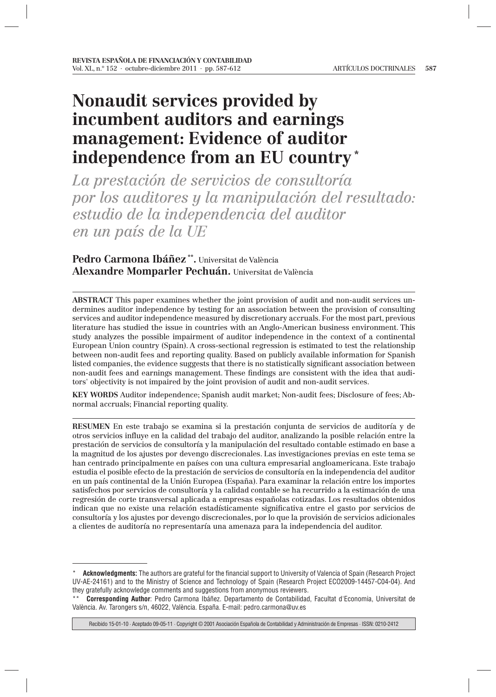# **Nonaudit services provided by incumbent auditors and earnings management: Evidence of auditor independence from an EU country \***

*La prestación de servicios de consultoría por los auditores y la manipulación del resultado: estudio de la independencia del auditor en un país de la UE*

**Pedro Carmona Ibáñez \*\*.** Universitat de València **Alexandre Momparler Pechuán.** Universitat de València

**ABSTRACT** This paper examines whether the joint provision of audit and non-audit services undermines auditor independence by testing for an association between the provision of consulting services and auditor independence measured by discretionary accruals. For the most part, previous literature has studied the issue in countries with an Anglo-American business environment. This study analyzes the possible impairment of auditor independence in the context of a continental European Union country (Spain). A cross-sectional regression is estimated to test the relationship between non-audit fees and reporting quality. Based on publicly available information for Spanish listed companies, the evidence suggests that there is no statistically significant association between non-audit fees and earnings management. These findings are consistent with the idea that auditors' objectivity is not impaired by the joint provision of audit and non-audit services.

**KEY WORDS** Auditor independence; Spanish audit market; Non-audit fees; Disclosure of fees; Abnormal accruals; Financial reporting quality.

**RESUMEN** En este trabajo se examina si la prestación conjunta de servicios de auditoría y de otros servicios infl uye en la calidad del trabajo del auditor, analizando la posible relación entre la prestación de servicios de consultoría y la manipulación del resultado contable estimado en base a la magnitud de los ajustes por devengo discrecionales. Las investigaciones previas en este tema se han centrado principalmente en países con una cultura empresarial angloamericana. Este trabajo estudia el posible efecto de la prestación de servicios de consultoría en la independencia del auditor en un país continental de la Unión Europea (España). Para examinar la relación entre los importes satisfechos por servicios de consultoría y la calidad contable se ha recurrido a la estimación de una regresión de corte transversal aplicada a empresas españolas cotizadas. Los resultados obtenidos indican que no existe una relación estadísticamente significativa entre el gasto por servicios de consultoría y los ajustes por devengo discrecionales, por lo que la provisión de servicios adicionales a clientes de auditoría no representaría una amenaza para la independencia del auditor.

Acknowledgments: The authors are grateful for the financial support to University of Valencia of Spain (Research Project UV-AE-24161) and to the Ministry of Science and Technology of Spain (Research Project ECO2009-14457-C04-04). And they gratefully acknowledge comments and suggestions from anonymous reviewers.

<sup>\*\*</sup> **Corresponding Author**: Pedro Carmona Ibáñez. Departamento de Contabilidad, Facultat d'Economia, Universitat de València. Av. Tarongers s/n, 46022, València. España. E-mail: pedro.carmona@uv.es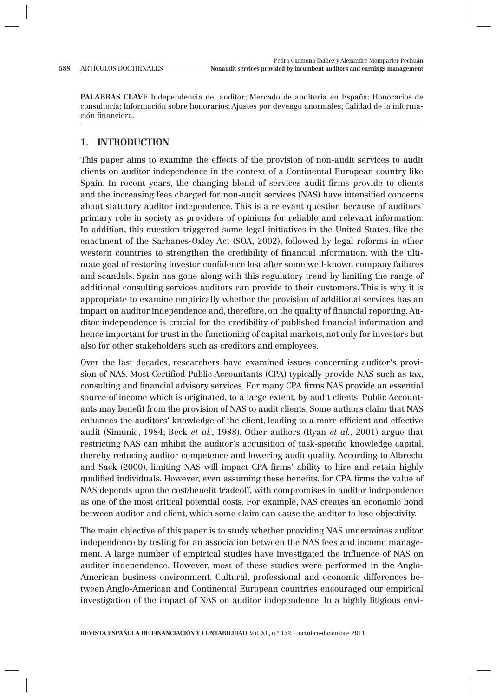**PALABRAS CLAVE** Independencia del auditor; Mercado de auditoria en España; Honorarios de consultoría; Información sobre honorarios; Ajustes por devengo anormales; Calidad de la información financiera.

## **1. INTRODUCTION**

This paper aims to examine the effects of the provision of non-audit services to audit clients on auditor independence in the context of a Continental European country like Spain. In recent years, the changing blend of services audit firms provide to clients and the increasing fees charged for non-audit services (NAS) have intensified concerns about statutory auditor independence. This is a relevant question because of auditors' primary role in society as providers of opinions for reliable and relevant information. In addition, this question triggered some legal initiatives in the United States, like the enactment of the Sarbanes-Oxley Act (SOA, 2002), followed by legal reforms in other western countries to strengthen the credibility of financial information, with the ultimate goal of restoring investor confidence lost after some well-known company failures and scandals. Spain has gone along with this regulatory trend by limiting the range of additional consulting services auditors can provide to their customers. This is why it is appropriate to examine empirically whether the provision of additional services has an impact on auditor independence and, therefore, on the quality of financial reporting. Auditor independence is crucial for the credibility of published financial information and hence important for trust in the functioning of capital markets, not only for investors but also for other stakeholders such as creditors and employees.

Over the last decades, researchers have examined issues concerning auditor's provision of NAS. Most Certified Public Accountants (CPA) typically provide NAS such as tax, consulting and financial advisory services. For many CPA firms NAS provide an essential source of income which is originated, to a large extent, by audit clients. Public Accountants may benefit from the provision of NAS to audit clients. Some authors claim that NAS enhances the auditors' knowledge of the client, leading to a more efficient and effective audit (Simunic, 1984; Beck *et al.*, 1988). Other authors (Ryan *et al.*, 2001) argue that restricting NAS can inhibit the auditor's acquisition of task-specific knowledge capital, thereby reducing auditor competence and lowering audit quality. According to Albrecht and Sack (2000), limiting NAS will impact CPA firms' ability to hire and retain highly qualified individuals. However, even assuming these benefits, for CPA firms the value of NAS depends upon the cost/benefit tradeoff, with compromises in auditor independence as one of the most critical potential costs. For example, NAS creates an economic bond between auditor and client, which some claim can cause the auditor to lose objectivity.

The main objective of this paper is to study whether providing NAS undermines auditor independence by testing for an association between the NAS fees and income management. A large number of empirical studies have investigated the influence of NAS on auditor independence. However, most of these studies were performed in the Anglo-American business environment. Cultural, professional and economic differences between Anglo-American and Continental European countries encouraged our empirical investigation of the impact of NAS on auditor independence. In a highly litigious envi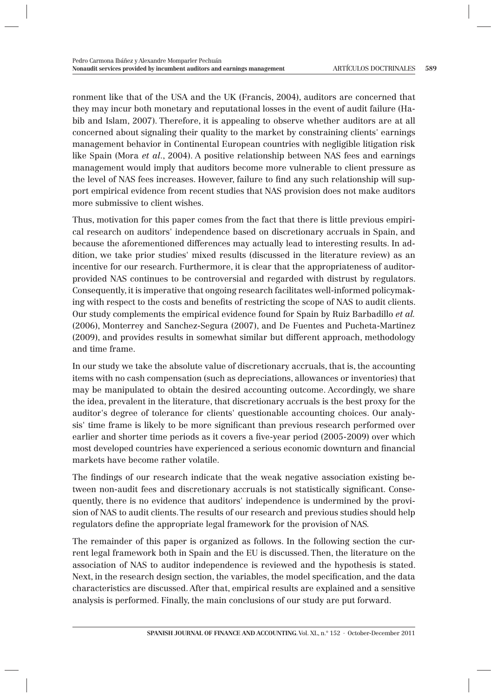ronment like that of the USA and the UK (Francis, 2004), auditors are concerned that they may incur both monetary and reputational losses in the event of audit failure (Habib and Islam, 2007). Therefore, it is appealing to observe whether auditors are at all concerned about signaling their quality to the market by constraining clients' earnings management behavior in Continental European countries with negligible litigation risk like Spain (Mora *et al*., 2004). A positive relationship between NAS fees and earnings management would imply that auditors become more vulnerable to client pressure as the level of NAS fees increases. However, failure to find any such relationship will support empirical evidence from recent studies that NAS provision does not make auditors more submissive to client wishes.

Thus, motivation for this paper comes from the fact that there is little previous empirical research on auditors' independence based on discretionary accruals in Spain, and because the aforementioned differences may actually lead to interesting results. In addition, we take prior studies' mixed results (discussed in the literature review) as an incentive for our research. Furthermore, it is clear that the appropriateness of auditorprovided NAS continues to be controversial and regarded with distrust by regulators. Consequently, it is imperative that ongoing research facilitates well-informed policymaking with respect to the costs and benefits of restricting the scope of NAS to audit clients. Our study complements the empirical evidence found for Spain by Ruiz Barbadillo *et al.* (2006), Monterrey and Sanchez-Segura (2007), and De Fuentes and Pucheta-Martinez (2009), and provides results in somewhat similar but different approach, methodology and time frame.

In our study we take the absolute value of discretionary accruals, that is, the accounting items with no cash compensation (such as depreciations, allowances or inventories) that may be manipulated to obtain the desired accounting outcome. Accordingly, we share the idea, prevalent in the literature, that discretionary accruals is the best proxy for the auditor's degree of tolerance for clients' questionable accounting choices. Our analysis' time frame is likely to be more significant than previous research performed over earlier and shorter time periods as it covers a five-year period (2005-2009) over which most developed countries have experienced a serious economic downturn and financial markets have become rather volatile.

The findings of our research indicate that the weak negative association existing between non-audit fees and discretionary accruals is not statistically significant. Consequently, there is no evidence that auditors' independence is undermined by the provision of NAS to audit clients. The results of our research and previous studies should help regulators define the appropriate legal framework for the provision of NAS.

The remainder of this paper is organized as follows. In the following section the current legal framework both in Spain and the EU is discussed. Then, the literature on the association of NAS to auditor independence is reviewed and the hypothesis is stated. Next, in the research design section, the variables, the model specification, and the data characteristics are discussed. After that, empirical results are explained and a sensitive analysis is performed. Finally, the main conclusions of our study are put forward.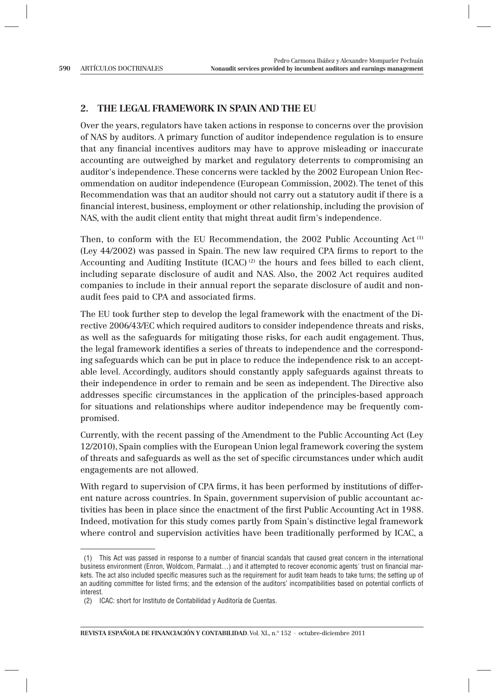# **2. THE LEGAL FRAMEWORK IN SPAIN AND THE EU**

Over the years, regulators have taken actions in response to concerns over the provision of NAS by auditors. A primary function of auditor independence regulation is to ensure that any financial incentives auditors may have to approve misleading or inaccurate accounting are outweighed by market and regulatory deterrents to compromising an auditor's independence. These concerns were tackled by the 2002 European Union Recommendation on auditor independence (European Commission, 2002). The tenet of this Recommendation was that an auditor should not carry out a statutory audit if there is a financial interest, business, employment or other relationship, including the provision of NAS, with the audit client entity that might threat audit firm's independence.

Then, to conform with the EU Recommendation, the 2002 Public Accounting Act (1) (Ley 44/2002) was passed in Spain. The new law required CPA firms to report to the Accounting and Auditing Institute  $(ICAC)^{(2)}$  the hours and fees billed to each client, including separate disclosure of audit and NAS. Also, the 2002 Act requires audited companies to include in their annual report the separate disclosure of audit and nonaudit fees paid to CPA and associated firms.

The EU took further step to develop the legal framework with the enactment of the Directive 2006/43/EC which required auditors to consider independence threats and risks, as well as the safeguards for mitigating those risks, for each audit engagement. Thus, the legal framework identifies a series of threats to independence and the corresponding safeguards which can be put in place to reduce the independence risk to an acceptable level. Accordingly, auditors should constantly apply safeguards against threats to their independence in order to remain and be seen as independent. The Directive also addresses specific circumstances in the application of the principles-based approach for situations and relationships where auditor independence may be frequently compromised.

Currently, with the recent passing of the Amendment to the Public Accounting Act (Ley 12/2010), Spain complies with the European Union legal framework covering the system of threats and safeguards as well as the set of specifi c circumstances under which audit engagements are not allowed.

With regard to supervision of CPA firms, it has been performed by institutions of different nature across countries. In Spain, government supervision of public accountant activities has been in place since the enactment of the first Public Accounting Act in 1988. Indeed, motivation for this study comes partly from Spain's distinctive legal framework where control and supervision activities have been traditionally performed by ICAC, a

<sup>(1)</sup> This Act was passed in response to a number of financial scandals that caused great concern in the international business environment (Enron, Woldcom, Parmalat...) and it attempted to recover economic agents' trust on financial markets. The act also included specific measures such as the requirement for audit team heads to take turns; the setting up of an auditing committee for listed firms; and the extension of the auditors' incompatibilities based on potential conflicts of **interest** 

 <sup>(2)</sup> ICAC: short for Instituto de Contabilidad y Auditoría de Cuentas.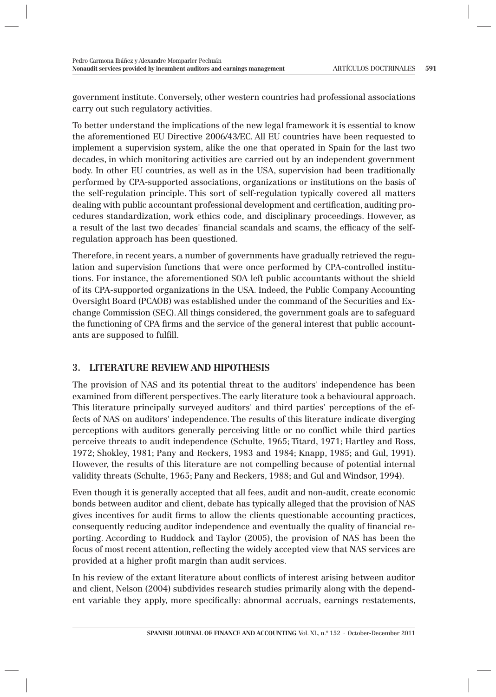government institute. Conversely, other western countries had professional associations carry out such regulatory activities.

To better understand the implications of the new legal framework it is essential to know the aforementioned EU Directive 2006/43/EC. All EU countries have been requested to implement a supervision system, alike the one that operated in Spain for the last two decades, in which monitoring activities are carried out by an independent government body. In other EU countries, as well as in the USA, supervision had been traditionally performed by CPA-supported associations, organizations or institutions on the basis of the self-regulation principle. This sort of self-regulation typically covered all matters dealing with public accountant professional development and certification, auditing procedures standardization, work ethics code, and disciplinary proceedings. However, as a result of the last two decades' financial scandals and scams, the efficacy of the selfregulation approach has been questioned.

Therefore, in recent years, a number of governments have gradually retrieved the regulation and supervision functions that were once performed by CPA-controlled institutions. For instance, the aforementioned SOA left public accountants without the shield of its CPA-supported organizations in the USA. Indeed, the Public Company Accounting Oversight Board (PCAOB) was established under the command of the Securities and Exchange Commission (SEC). All things considered, the government goals are to safeguard the functioning of CPA firms and the service of the general interest that public accountants are supposed to fulfill.

## **3. LITERATURE REVIEW AND HIPOTHESIS**

The provision of NAS and its potential threat to the auditors' independence has been examined from different perspectives. The early literature took a behavioural approach. This literature principally surveyed auditors' and third parties' perceptions of the effects of NAS on auditors' independence. The results of this literature indicate diverging perceptions with auditors generally perceiving little or no conflict while third parties perceive threats to audit independence (Schulte, 1965; Titard, 1971; Hartley and Ross, 1972; Shokley, 1981; Pany and Reckers, 1983 and 1984; Knapp, 1985; and Gul, 1991). However, the results of this literature are not compelling because of potential internal validity threats (Schulte, 1965; Pany and Reckers, 1988; and Gul and Windsor, 1994).

Even though it is generally accepted that all fees, audit and non-audit, create economic bonds between auditor and client, debate has typically alleged that the provision of NAS gives incentives for audit firms to allow the clients questionable accounting practices, consequently reducing auditor independence and eventually the quality of financial reporting. According to Ruddock and Taylor (2005), the provision of NAS has been the focus of most recent attention, reflecting the widely accepted view that NAS services are provided at a higher profit margin than audit services.

In his review of the extant literature about conflicts of interest arising between auditor and client, Nelson (2004) subdivides research studies primarily along with the dependent variable they apply, more specifically: abnormal accruals, earnings restatements,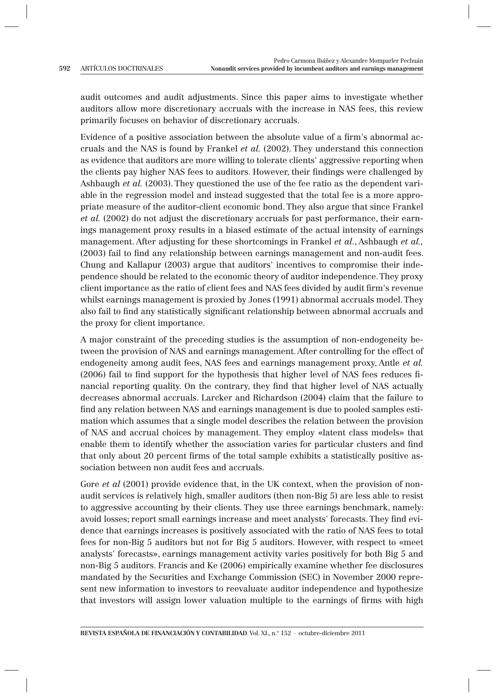audit outcomes and audit adjustments. Since this paper aims to investigate whether auditors allow more discretionary accruals with the increase in NAS fees, this review primarily focuses on behavior of discretionary accruals.

Evidence of a positive association between the absolute value of a firm's abnormal accruals and the NAS is found by Frankel *et al.* (2002). They understand this connection as evidence that auditors are more willing to tolerate clients' aggressive reporting when the clients pay higher NAS fees to auditors. However, their findings were challenged by Ashbaugh *et al.* (2003). They questioned the use of the fee ratio as the dependent variable in the regression model and instead suggested that the total fee is a more appropriate measure of the auditor-client economic bond. They also argue that since Frankel *et al.* (2002) do not adjust the discretionary accruals for past performance, their earnings management proxy results in a biased estimate of the actual intensity of earnings management. After adjusting for these shortcomings in Frankel *et al*., Ashbaugh *et al.,* (2003) fail to find any relationship between earnings management and non-audit fees. Chung and Kallapur (2003) argue that auditors' incentives to compromise their independence should be related to the economic theory of auditor independence. They proxy client importance as the ratio of client fees and NAS fees divided by audit firm's revenue whilst earnings management is proxied by Jones (1991) abnormal accruals model. They also fail to find any statistically significant relationship between abnormal accruals and the proxy for client importance.

A major constraint of the preceding studies is the assumption of non-endogeneity between the provision of NAS and earnings management. After controlling for the effect of endogeneity among audit fees, NAS fees and earnings management proxy, Antle *et al.* (2006) fail to find support for the hypothesis that higher level of NAS fees reduces financial reporting quality. On the contrary, they find that higher level of NAS actually decreases abnormal accruals. Larcker and Richardson (2004) claim that the failure to find any relation between NAS and earnings management is due to pooled samples estimation which assumes that a single model describes the relation between the provision of NAS and accrual choices by management. They employ «latent class models» that enable them to identify whether the association varies for particular clusters and find that only about 20 percent firms of the total sample exhibits a statistically positive association between non audit fees and accruals.

Gore *et al* (2001) provide evidence that, in the UK context, when the provision of nonaudit services is relatively high, smaller auditors (then non-Big 5) are less able to resist to aggressive accounting by their clients. They use three earnings benchmark, namely: avoid losses; report small earnings increase and meet analysts' forecasts. They find evidence that earnings increases is positively associated with the ratio of NAS fees to total fees for non-Big 5 auditors but not for Big 5 auditors. However, with respect to «meet analysts' forecasts», earnings management activity varies positively for both Big 5 and non-Big 5 auditors. Francis and Ke (2006) empirically examine whether fee disclosures mandated by the Securities and Exchange Commission (SEC) in November 2000 represent new information to investors to reevaluate auditor independence and hypothesize that investors will assign lower valuation multiple to the earnings of firms with high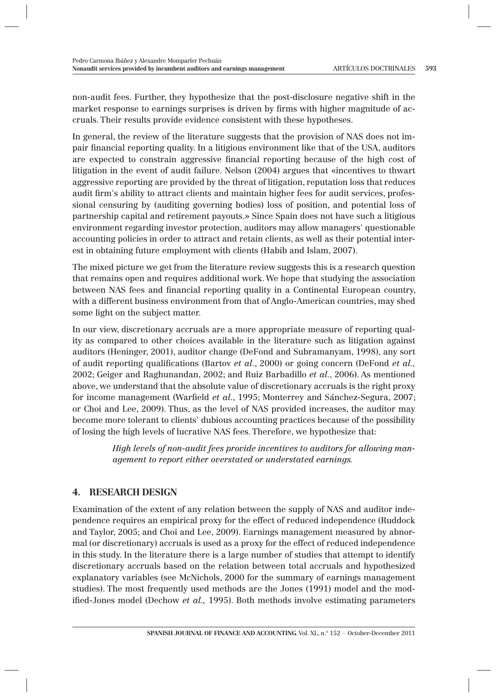non-audit fees. Further, they hypothesize that the post-disclosure negative shift in the market response to earnings surprises is driven by firms with higher magnitude of accruals. Their results provide evidence consistent with these hypotheses.

In general, the review of the literature suggests that the provision of NAS does not impair financial reporting quality. In a litigious environment like that of the USA, auditors are expected to constrain aggressive financial reporting because of the high cost of litigation in the event of audit failure. Nelson (2004) argues that «incentives to thwart aggressive reporting are provided by the threat of litigation, reputation loss that reduces audit firm's ability to attract clients and maintain higher fees for audit services, professional censuring by (auditing governing bodies) loss of position, and potential loss of partnership capital and retirement payouts.» Since Spain does not have such a litigious environment regarding investor protection, auditors may allow managers' questionable accounting policies in order to attract and retain clients, as well as their potential interest in obtaining future employment with clients (Habib and Islam, 2007).

The mixed picture we get from the literature review suggests this is a research question that remains open and requires additional work. We hope that studying the association between NAS fees and financial reporting quality in a Continental European country, with a different business environment from that of Anglo-American countries, may shed some light on the subject matter.

In our view, discretionary accruals are a more appropriate measure of reporting quality as compared to other choices available in the literature such as litigation against auditors (Heninger, 2001), auditor change (DeFond and Subramanyam, 1998), any sort of audit reporting qualifications (Bartov *et al.*, 2000) or going concern (DeFond *et al.*, 2002; Geiger and Raghunandan, 2002; and Ruiz Barbadillo *et al*., 2006). As mentioned above, we understand that the absolute value of discretionary accruals is the right proxy for income management (Warfield *et al.*, 1995; Monterrey and Sánchez-Segura, 2007; or Choi and Lee, 2009). Thus, as the level of NAS provided increases, the auditor may become more tolerant to clients' dubious accounting practices because of the possibility of losing the high levels of lucrative NAS fees. Therefore, we hypothesize that:

> *High levels of non-audit fees provide incentives to auditors for allowing management to report either overstated or understated earnings.*

## **4. RESEARCH DESIGN**

Examination of the extent of any relation between the supply of NAS and auditor independence requires an empirical proxy for the effect of reduced independence (Ruddock and Taylor, 2005; and Choi and Lee, 2009). Earnings management measured by abnormal (or discretionary) accruals is used as a proxy for the effect of reduced independence in this study. In the literature there is a large number of studies that attempt to identify discretionary accruals based on the relation between total accruals and hypothesized explanatory variables (see McNichols, 2000 for the summary of earnings management studies). The most frequently used methods are the Jones (1991) model and the modified-Jones model (Dechow *et al.*, 1995). Both methods involve estimating parameters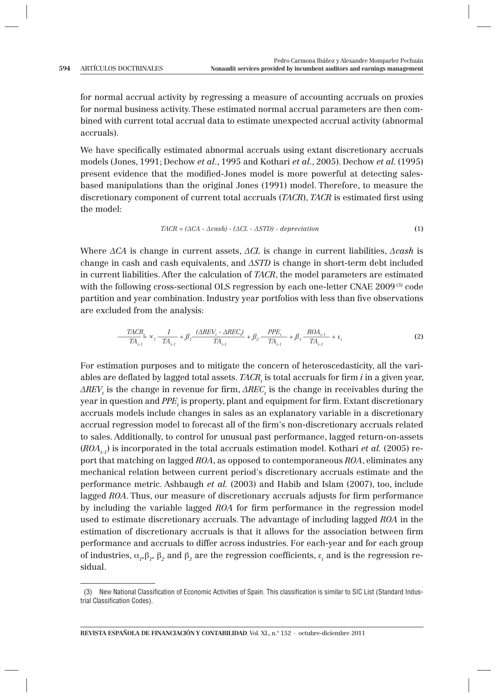for normal accrual activity by regressing a measure of accounting accruals on proxies for normal business activity. These estimated normal accrual parameters are then combined with current total accrual data to estimate unexpected accrual activity (abnormal accruals).

We have specifically estimated abnormal accruals using extant discretionary accruals models (Jones, 1991; Dechow *et al*., 1995 and Kothari *et al*., 2005). Dechow *et al.* (1995) present evidence that the modified-Jones model is more powerful at detecting salesbased manipulations than the original Jones (1991) model. Therefore, to measure the discretionary component of current total accruals (*TACR*), *TACR* is estimated first using the model:

$$
TACR = (\Delta CA - \Delta cash) - (\Delta CL - \Delta STD) - depreciation
$$
\n(1)

Where *ΔCA* is change in current assets, *ΔCL* is change in current liabilities, *Δcash* is change in cash and cash equivalents, and *ΔSTD* is change in short-term debt included in current liabilities. After the calculation of *TACR*, the model parameters are estimated with the following cross-sectional OLS regression by each one-letter CNAE 2009<sup>(3)</sup> code partition and year combination. Industry year portfolios with less than five observations are excluded from the analysis:

$$
\frac{TACR_L}{TA_{L1}} \simeq \frac{1}{T A_{L1}} + \beta_1 \frac{(AREV_t - AREC_t)}{TA_{L1}} + \beta_2 \frac{PPE_t}{TA_{L1}} + \beta_3 \frac{ROA_{L1}}{TA_{L1}} + \epsilon_t
$$
\n(2)

For estimation purposes and to mitigate the concern of heteroscedasticity, all the variables are deflated by lagged total assets.  $T\text{AC}R_{\iota}$  is total accruals for firm  $i$  in a given year,  $\Delta REV_t$  is the change in revenue for firm,  $\Delta REC_t$  is the change in receivables during the year in question and  $PPE_{_t}$  is property, plant and equipment for firm. Extant discretionary accruals models include changes in sales as an explanatory variable in a discretionary accrual regression model to forecast all of the firm's non-discretionary accruals related to sales. Additionally, to control for unusual past performance, lagged return-on-assets  $(ROA<sub>1.1</sub>)$  is incorporated in the total accruals estimation model. Kothari *et al.* (2005) report that matching on lagged *ROA*, as opposed to contemporaneous *ROA*, eliminates any mechanical relation between current period's discretionary accruals estimate and the performance metric. Ashbaugh *et al.* (2003) and Habib and Islam (2007), too, include lagged *ROA*. Thus, our measure of discretionary accruals adjusts for firm performance by including the variable lagged *ROA* for firm performance in the regression model used to estimate discretionary accruals. The advantage of including lagged *ROA* in the estimation of discretionary accruals is that it allows for the association between firm performance and accruals to differ across industries. For each-year and for each group of industries,  $\alpha_p \beta_p$ ,  $\beta_2$  and  $\beta_3$  are the regression coefficients,  $\epsilon_t$  and is the regression residual.

<sup>(3)</sup> New National Classification of Economic Activities of Spain. This classification is similar to SIC List (Standard Industrial Classification Codes).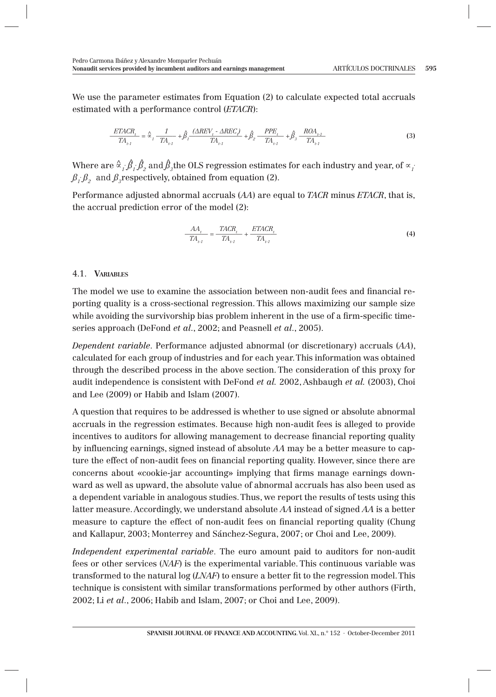We use the parameter estimates from Equation (2) to calculate expected total accruals estimated with a performance control (*ETACR*):

$$
\frac{ETACR_t}{TA_{t-1}} = \hat{\alpha}_1 \frac{1}{TA_{t-1}} + \hat{\beta}_1 \frac{(AREV_t - AREC_t)}{TA_{t-1}} + \hat{\beta}_2 \frac{PPE_t}{TA_{t-1}} + \hat{\beta}_3 \frac{ROA_{t-1}}{TA_{t-1}}
$$
(3)

Where are  $\hat{\propto}_i \hat{\beta}_i \hat{\beta}_2$  and  $\hat{\beta}_3$ the OLS regression estimates for each industry and year, of  $\propto_i$  $\beta_j$  and  $\beta_j$  respectively, obtained from equation (2).

Performance adjusted abnormal accruals (*AA*) are equal to *TACR* minus *ETACR*, that is, the accrual prediction error of the model (2):

$$
\frac{AA_t}{TA_{t}} = \frac{TACR_t}{TA_{t-1}} + \frac{ETACR_t}{TA_{t-1}}
$$
\n
$$
\tag{4}
$$

## 4.1. **VARIABLES**

The model we use to examine the association between non-audit fees and financial reporting quality is a cross-sectional regression. This allows maximizing our sample size while avoiding the survivorship bias problem inherent in the use of a firm-specific timeseries approach (DeFond *et al*., 2002; and Peasnell *et al*., 2005).

*Dependent variable*. Performance adjusted abnormal (or discretionary) accruals (*AA*), calculated for each group of industries and for each year. This information was obtained through the described process in the above section. The consideration of this proxy for audit independence is consistent with DeFond *et al.* 2002, Ashbaugh *et al.* (2003), Choi and Lee (2009) or Habib and Islam (2007).

A question that requires to be addressed is whether to use signed or absolute abnormal accruals in the regression estimates. Because high non-audit fees is alleged to provide incentives to auditors for allowing management to decrease financial reporting quality by infl uencing earnings, signed instead of absolute *AA* may be a better measure to capture the effect of non-audit fees on financial reporting quality. However, since there are concerns about «cookie-jar accounting» implying that firms manage earnings downward as well as upward, the absolute value of abnormal accruals has also been used as a dependent variable in analogous studies. Thus, we report the results of tests using this latter measure. Accordingly, we understand absolute *AA* instead of signed *AA* is a better measure to capture the effect of non-audit fees on financial reporting quality (Chung and Kallapur, 2003; Monterrey and Sánchez-Segura, 2007; or Choi and Lee, 2009).

*Independent experimental variable*. The euro amount paid to auditors for non-audit fees or other services (*NAF*) is the experimental variable. This continuous variable was transformed to the natural log (*LNAF*) to ensure a better fit to the regression model. This technique is consistent with similar transformations performed by other authors (Firth, 2002; Li *et al*., 2006; Habib and Islam, 2007; or Choi and Lee, 2009).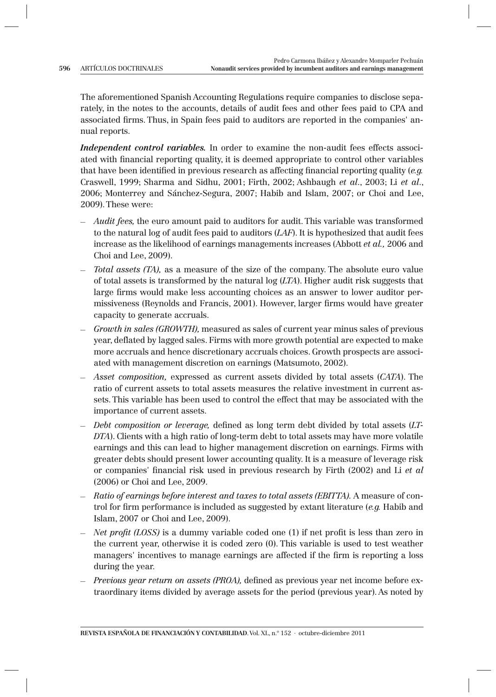The aforementioned Spanish Accounting Regulations require companies to disclose separately, in the notes to the accounts, details of audit fees and other fees paid to CPA and associated firms. Thus, in Spain fees paid to auditors are reported in the companies' annual reports.

*Independent control variables.* In order to examine the non-audit fees effects associated with financial reporting quality, it is deemed appropriate to control other variables that have been identified in previous research as affecting financial reporting quality (*e.g.*) Craswell, 1999; Sharma and Sidhu, 2001; Firth, 2002; Ashbaugh *et al*., 2003; Li *et al*., 2006; Monterrey and Sánchez-Segura, 2007; Habib and Islam, 2007; or Choi and Lee, 2009). These were:

- *Audit fees,* the euro amount paid to auditors for audit. This variable was transformed to the natural log of audit fees paid to auditors (*LAF*). It is hypothesized that audit fees increase as the likelihood of earnings managements increases (Abbott *et al.,* 2006 and Choi and Lee, 2009).
- *Total assets (TA),* as a measure of the size of the company. The absolute euro value of total assets is transformed by the natural log (*LTA*). Higher audit risk suggests that large firms would make less accounting choices as an answer to lower auditor permissiveness (Reynolds and Francis, 2001). However, larger firms would have greater capacity to generate accruals.
- *Growth in sales (GROWTH),* measured as sales of current year minus sales of previous year, deflated by lagged sales. Firms with more growth potential are expected to make more accruals and hence discretionary accruals choices. Growth prospects are associated with management discretion on earnings (Matsumoto, 2002).
- *Asset composition,* expressed as current assets divided by total assets (*CATA*). The ratio of current assets to total assets measures the relative investment in current assets. This variable has been used to control the effect that may be associated with the importance of current assets.
- $\sim$  *Debt composition or leverage,* defined as long term debt divided by total assets (LT-*DTA*). Clients with a high ratio of long-term debt to total assets may have more volatile earnings and this can lead to higher management discretion on earnings. Firms with greater debts should present lower accounting quality. It is a measure of leverage risk or companies' financial risk used in previous research by Firth (2002) and Li *et al* (2006) or Choi and Lee, 2009.
- *Ratio of earnings before interest and taxes to total assets (EBITTA).* A measure of control for firm performance is included as suggested by extant literature (*e.g.* Habib and Islam, 2007 or Choi and Lee, 2009).
- *Net profit (LOSS)* is a dummy variable coded one (1) if net profit is less than zero in the current year, otherwise it is coded zero (0). This variable is used to test weather managers' incentives to manage earnings are affected if the firm is reporting a loss during the year.
- *Previous year return on assets (PROA),* defined as previous year net income before extraordinary items divided by average assets for the period (previous year). As noted by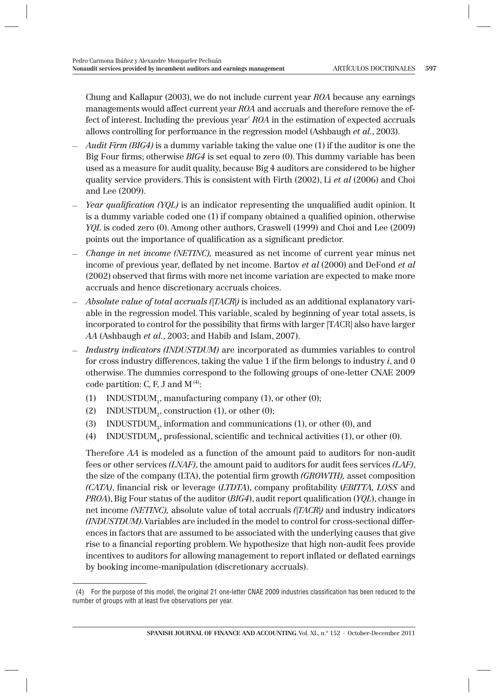Chung and Kallapur (2003), we do not include current year *ROA* because any earnings managements would affect current year *ROA* and accruals and therefore remove the effect of interest. Including the previous year' *ROA* in the estimation of expected accruals allows controlling for performance in the regression model (Ashbaugh *et al*., 2003).

- *Audit Firm (BIG4)* is a dummy variable taking the value one (1) if the auditor is one the Big Four firms; otherwise *BIG4* is set equal to zero (0). This dummy variable has been used as a measure for audit quality, because Big 4 auditors are considered to be higher quality service providers. This is consistent with Firth (2002), Li *et al* (2006) and Choi and Lee (2009).
- *Year qualification (YQL)* is an indicator representing the unqualified audit opinion. It is a dummy variable coded one (1) if company obtained a qualified opinion, otherwise *YQL* is coded zero (0). Among other authors, Craswell (1999) and Choi and Lee (2009) points out the importance of qualification as a significant predictor.
- *Change in net income (NETINC),* measured as net income of current year minus net income of previous year, deflated by net income. Bartov *et al* (2000) and DeFond *et al* (2002) observed that firms with more net income variation are expected to make more accruals and hence discretionary accruals choices.
- *Absolute value of total accruals (|TACR|)* is included as an additional explanatory variable in the regression model. This variable, scaled by beginning of year total assets, is incorporated to control for the possibility that firms with larger *[TACR* also have larger *AA* (Ashbaugh *et al*., 2003; and Habib and Islam, 2007).
- *Industry indicators (INDUSTDUM)* are incorporated as dummies variables to control for cross industry differences, taking the value  $1$  if the firm belongs to industry  $i$ , and  $0$ otherwise. The dummies correspond to the following groups of one-letter CNAE 2009 code partition: C, F, J and  $M^{(4)}$ :
	- (1) INDUSTDUM<sub>1</sub>, manufacturing company (1), or other (0);
	- (2) INDUSTDUM<sub>2</sub>, construction (1), or other (0);
	- (3) INDUSTDUM<sub>3</sub>, information and communications (1), or other (0), and
	- (4) INDUSTDUM<sub>a</sub>, professional, scientific and technical activities  $(1)$ , or other  $(0)$ .

Therefore *AA* is modeled as a function of the amount paid to auditors for non-audit fees or other services *(LNAF)*, the amount paid to auditors for audit fees services *(LAF)*, the size of the company (LTA), the potential firm growth *(GROWTH)*, asset composition *(CATA)*, financial risk or leverage *(LTDTA)*, company profitability *(EBITTA, LOSS* and *PROA*), Big Four status of the auditor (*BIG4*), audit report qualification (*YQL*), change in net income *(NETINC),* absolute value of total accruals *(|TACR|)* and industry indicators *(INDUSTDUM)*. Variables are included in the model to control for cross-sectional differences in factors that are assumed to be associated with the underlying causes that give rise to a financial reporting problem. We hypothesize that high non-audit fees provide incentives to auditors for allowing management to report inflated or deflated earnings by booking income-manipulation (discretionary accruals).

 <sup>(4)</sup> For the purpose of this model, the original 21 one-letter CNAE 2009 industries classifi cation has been reduced to the number of groups with at least five observations per year.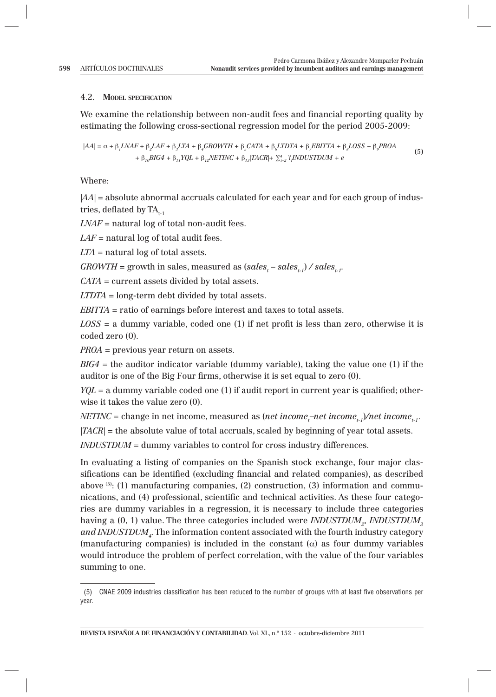### 4.2. **MODEL SPECIFICATION**

We examine the relationship between non-audit fees and financial reporting quality by estimating the following cross-sectional regression model for the period 2005-2009:

 $|AA| = \alpha + \beta$ *, LNAF +* β*<sub><i>LAF +*</sub> β*<sub>p</sub>LTA* +  $\beta$ *<sub><i>GROWTH* +  $\beta$ <sub>*gCATA* +  $\beta$ *LIDTA* +  $\beta$ *EBITTA* +  $\beta$ *<sub><i>gDROA*</sub></sub></sub>  $+ \beta_{10}BIG4 + \beta_{11}YQL + \beta_{12}NETINC + \beta_{13}|TACR| + \sum_{i=2}^{6} \gamma_i NDUSTDUM + e$  (5)

Where:

*|AA|* = absolute abnormal accruals calculated for each year and for each group of industries, deflated by  $TA_{t-1}$ 

*LNAF* = natural log of total non-audit fees.

*LAF* = natural log of total audit fees.

*LTA* = natural log of total assets.

 $\emph{GROWTH} = \emph{growth}$  in sales, measured as  $\emph{(sales}_t - \emph{sales}_{t-1})$  /  $\emph{sales}_{t-1}.$ 

*CATA* = current assets divided by total assets.

*LTDTA* = long-term debt divided by total assets.

*EBITTA* = ratio of earnings before interest and taxes to total assets.

 $LOSS = a$  dummy variable, coded one (1) if net profit is less than zero, otherwise it is coded zero (0).

*PROA* = previous year return on assets.

*BIG4* = the auditor indicator variable (dummy variable), taking the value one (1) if the auditor is one of the Big Four firms, otherwise it is set equal to zero  $(0)$ .

 $YQL = a$  dummy variable coded one (1) if audit report in current year is qualified; otherwise it takes the value zero (0).

 $\emph{NETINC} = \emph{change in net income}, \emph{measured as}$  (*net income<sub>t</sub>-net income<sub>t-1</sub>)/net income<sub>t-1</sub>.* 

*|TACR|* = the absolute value of total accruals, scaled by beginning of year total assets.

*INDUSTDUM* = dummy variables to control for cross industry differences.

In evaluating a listing of companies on the Spanish stock exchange, four major classifications can be identified (excluding financial and related companies), as described above  $(5)$ : (1) manufacturing companies, (2) construction, (3) information and communications, and (4) professional, scientific and technical activities. As these four categories are dummy variables in a regression, it is necessary to include three categories having a  $(0, 1)$  value. The three categories included were *INDUSTDUM*<sub>2</sub>, *INDUSTDUM*<sub>3</sub> *and INDUSTDUM4*. The information content associated with the fourth industry category (manufacturing companies) is included in the constant  $(\alpha)$  as four dummy variables would introduce the problem of perfect correlation, with the value of the four variables summing to one.

<sup>(5)</sup> CNAE 2009 industries classification has been reduced to the number of groups with at least five observations per year.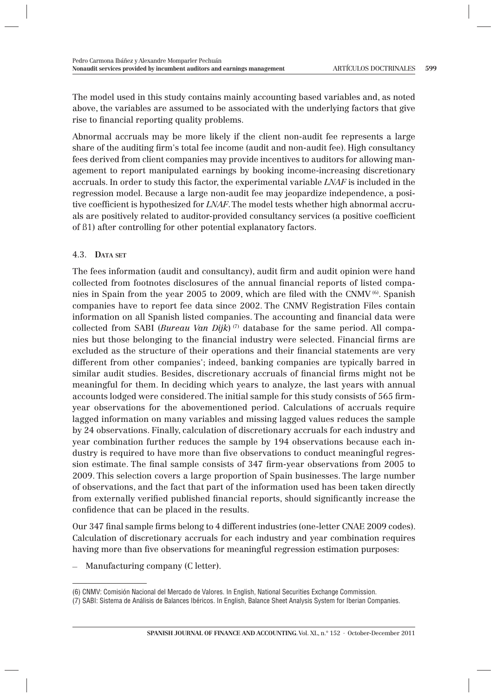The model used in this study contains mainly accounting based variables and, as noted above, the variables are assumed to be associated with the underlying factors that give rise to financial reporting quality problems.

Abnormal accruals may be more likely if the client non-audit fee represents a large share of the auditing firm's total fee income (audit and non-audit fee). High consultancy fees derived from client companies may provide incentives to auditors for allowing management to report manipulated earnings by booking income-increasing discretionary accruals. In order to study this factor, the experimental variable *LNAF* is included in the regression model. Because a large non-audit fee may jeopardize independence, a positive coefficient is hypothesized for *LNAF*. The model tests whether high abnormal accruals are positively related to auditor-provided consultancy services (a positive coefficient of ß1) after controlling for other potential explanatory factors.

## 4.3. **DATA SET**

The fees information (audit and consultancy), audit firm and audit opinion were hand collected from footnotes disclosures of the annual financial reports of listed companies in Spain from the year 2005 to 2009, which are filed with the CNMV $^{(6)}$ . Spanish companies have to report fee data since 2002. The CNMV Registration Files contain information on all Spanish listed companies. The accounting and financial data were collected from SABI (*Bureau Van Dijk*) (7) database for the same period. All companies but those belonging to the financial industry were selected. Financial firms are excluded as the structure of their operations and their financial statements are very different from other companies'; indeed, banking companies are typically barred in similar audit studies. Besides, discretionary accruals of financial firms might not be meaningful for them. In deciding which years to analyze, the last years with annual accounts lodged were considered. The initial sample for this study consists of 565 firmyear observations for the abovementioned period. Calculations of accruals require lagged information on many variables and missing lagged values reduces the sample by 24 observations. Finally, calculation of discretionary accruals for each industry and year combination further reduces the sample by 194 observations because each industry is required to have more than five observations to conduct meaningful regression estimate. The final sample consists of 347 firm-year observations from 2005 to 2009. This selection covers a large proportion of Spain businesses. The large number of observations, and the fact that part of the information used has been taken directly from externally verified published financial reports, should significantly increase the confidence that can be placed in the results.

Our 347 final sample firms belong to 4 different industries (one-letter CNAE 2009 codes). Calculation of discretionary accruals for each industry and year combination requires having more than five observations for meaningful regression estimation purposes:

— Manufacturing company (C letter).

<sup>(6)</sup> CNMV: Comisión Nacional del Mercado de Valores. In English, National Securities Exchange Commission.

<sup>(7)</sup> SABI: Sistema de Análisis de Balances Ibéricos. In English, Balance Sheet Analysis System for Iberian Companies.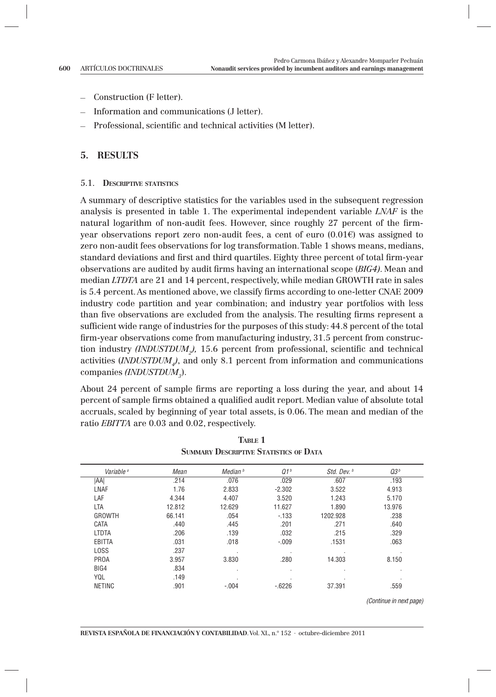- Construction (F letter).
- Information and communications (J letter).
- Professional, scientific and technical activities (M letter).

## **5. RESULTS**

#### 5.1. **DESCRIPTIVE STATISTICS**

A summary of descriptive statistics for the variables used in the subsequent regression analysis is presented in table 1. The experimental independent variable *LNAF* is the natural logarithm of non-audit fees. However, since roughly 27 percent of the firmyear observations report zero non-audit fees, a cent of euro (0.01€) was assigned to zero non-audit fees observations for log transformation. Table 1 shows means, medians, standard deviations and first and third quartiles. Eighty three percent of total firm-year observations are audited by audit firms having an international scope (*BIG4*). Mean and median *LTDTA* are 21 and 14 percent, respectively, while median GROWTH rate in sales is 5.4 percent. As mentioned above, we classify firms according to one-letter CNAE 2009 industry code partition and year combination; and industry year portfolios with less than five observations are excluded from the analysis. The resulting firms represent a sufficient wide range of industries for the purposes of this study: 44.8 percent of the total firm-year observations come from manufacturing industry, 31.5 percent from construction industry *(INDUSTDUM<sub>2</sub>)*, 15.6 percent from professional, scientific and technical activities  $(INDUSTDUM<sub>a</sub>)$ , and only 8.1 percent from information and communications companies *(INDUSTDUM<sub>2</sub>)*.

About 24 percent of sample firms are reporting a loss during the year, and about 14 percent of sample firms obtained a qualified audit report. Median value of absolute total accruals, scaled by beginning of year total assets, is 0.06. The mean and median of the ratio *EBITTA* are 0.03 and 0.02, respectively.

| Variable <sup>a</sup> | Mean   | Median <sup>b</sup> | Q1 <sup>b</sup> | Std. Dev. b | 03 <sup>b</sup> |
|-----------------------|--------|---------------------|-----------------|-------------|-----------------|
| AA                    | .214   | .076                | .029            | .607        | .193            |
| LNAF                  | 1.76   | 2.833               | $-2.302$        | 3.522       | 4.913           |
| LAF                   | 4.344  | 4.407               | 3.520           | 1.243       | 5.170           |
| <b>LTA</b>            | 12.812 | 12.629              | 11.627          | 1.890       | 13.976          |
| <b>GROWTH</b>         | 66.141 | .054                | $-133$          | 1202.928    | .238            |
| CATA                  | .440   | .445                | .201            | .271        | .640            |
| <b>LTDTA</b>          | .206   | .139                | .032            | .215        | .329            |
| EBITTA                | .031   | .018                | $-.009$         | .1531       | .063            |
| <b>LOSS</b>           | .237   | $\cdot$             | $\cdot$         | . н.        | $\cdot$         |
| <b>PROA</b>           | 3.957  | 3.830               | .280            | 14.303      | 8.150           |
| BIG4                  | .834   | $\cdot$             | $\mathbf{r}$    | ٠           | ٠               |
| YQL                   | .149   | $\mathbf{r}$        |                 | ٠.          | $\cdot$         |
| <b>NETINC</b>         | .901   | $-.004$             | $-0.6226$       | 37.391      | .559            |

**TABLE 1 SUMMARY DESCRIPTIVE STATISTICS OF DATA**

(Continue in next page)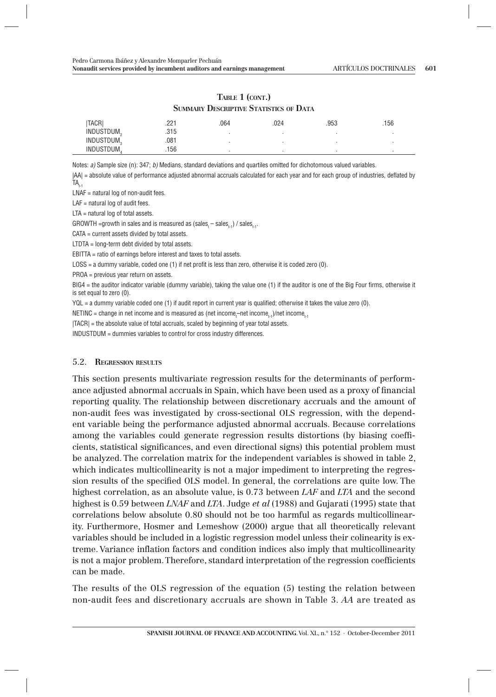| <b>SUMMARY DESCRIPTIVE STATISTICS OF DATA</b> |      |      |      |      |      |  |  |
|-----------------------------------------------|------|------|------|------|------|--|--|
| <b>ITACRI</b>                                 | 221  | .064 | .024 | .953 | .156 |  |  |
| INDUSTDUM <sub>2</sub>                        | .315 | . .  |      | ٠    |      |  |  |
| INDUSTDUM.                                    | .081 |      |      |      |      |  |  |
| INDUSTDUM.                                    | 156  |      |      |      |      |  |  |

# **TABLE 1 (CONT.)**

Notes: a) Sample size (n): 347; b) Medians, standard deviations and quartiles omitted for dichotomous valued variables.

|AA| = absolute value of performance adjusted abnormal accruals calculated for each year and for each group of industries, deflated by  $TA_{t-1}$ 

LNAF = natural log of non-audit fees.

LAF = natural log of audit fees.

LTA = natural log of total assets.

GROWTH =growth in sales and is measured as (sales $_{_{\rm t}}$ – sales $_{_{\rm t\text{-}1}}$ ) / sales $_{_{\rm t\text{-}1}}$ .

CATA = current assets divided by total assets.

LTDTA = long-term debt divided by total assets.

EBITTA = ratio of earnings before interest and taxes to total assets.

LOSS = a dummy variable, coded one (1) if net profit is less than zero, otherwise it is coded zero (0).

PROA = previous year return on assets.

 $BIG4$  = the auditor indicator variable (dummy variable), taking the value one (1) if the auditor is one of the Big Four firms, otherwise it is set equal to zero (0).

 $YQL = a$  dummy variable coded one (1) if audit report in current year is qualified; otherwise it takes the value zero (0).

<code>NETINC</code> = change in net income and is measured as (net income $_{\rm t}$ –net income $_{\rm t\text{-}1}$ )/net income $_{\rm t\text{-}1}$ 

|TACR| = the absolute value of total accruals, scaled by beginning of year total assets.

INDUSTDUM = dummies variables to control for cross industry differences.

#### 5.2. **REGRESSION RESULTS**

This section presents multivariate regression results for the determinants of performance adjusted abnormal accruals in Spain, which have been used as a proxy of financial reporting quality. The relationship between discretionary accruals and the amount of non-audit fees was investigated by cross-sectional OLS regression, with the dependent variable being the performance adjusted abnormal accruals. Because correlations among the variables could generate regression results distortions (by biasing coefficients, statistical significances, and even directional signs) this potential problem must be analyzed. The correlation matrix for the independent variables is showed in table 2, which indicates multicollinearity is not a major impediment to interpreting the regression results of the specified OLS model. In general, the correlations are quite low. The highest correlation, as an absolute value, is 0.73 between *LAF* and *LTA* and the second highest is 0.59 between *LNAF* and *LTA*. Judge *et al* (1988) and Gujarati (1995) state that correlations below absolute 0.80 should not be too harmful as regards multicollinearity. Furthermore, Hosmer and Lemeshow (2000) argue that all theoretically relevant variables should be included in a logistic regression model unless their colinearity is extreme. Variance inflation factors and condition indices also imply that multicollinearity is not a major problem. Therefore, standard interpretation of the regression coefficients can be made.

The results of the OLS regression of the equation (5) testing the relation between non-audit fees and discretionary accruals are shown in Table 3. *AA* are treated as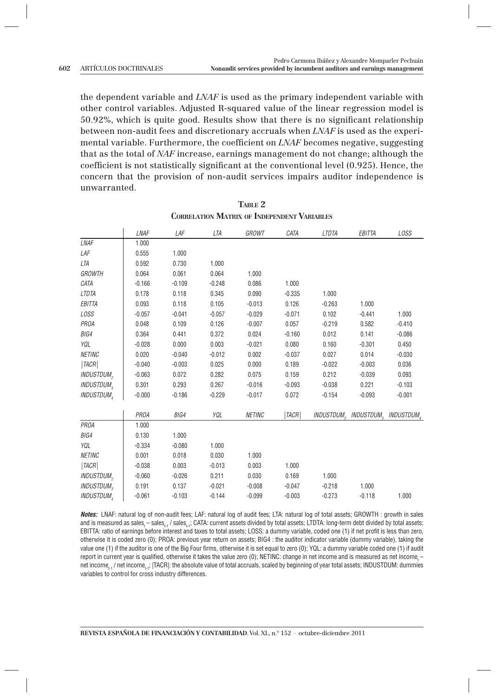the dependent variable and *LNAF* is used as the primary independent variable with other control variables. Adjusted R-squared value of the linear regression model is 50.92%, which is quite good. Results show that there is no significant relationship between non-audit fees and discretionary accruals when *LNAF* is used as the experimental variable. Furthermore, the coefficient on *LNAF* becomes negative, suggesting that as the total of *NAF* increase, earnings management do not change; although the coefficient is not statistically significant at the conventional level  $(0.925)$ . Hence, the concern that the provision of non-audit services impairs auditor independence is unwarranted.

|                        | LNAF        | LAF      | LTA      | GROWT         | CATA        | LTDTA    | EBITTA                           | <b>LOSS</b> |
|------------------------|-------------|----------|----------|---------------|-------------|----------|----------------------------------|-------------|
| LNAF                   | 1.000       |          |          |               |             |          |                                  |             |
| LAF                    | 0.555       | 1.000    |          |               |             |          |                                  |             |
| LTA                    | 0.592       | 0.730    | 1.000    |               |             |          |                                  |             |
| GROWTH                 | 0.064       | 0.061    | 0.064    | 1.000         |             |          |                                  |             |
| CATA                   | $-0.166$    | $-0.109$ | $-0.248$ | 0.086         | 1.000       |          |                                  |             |
| LTDTA                  | 0.178       | 0.118    | 0.345    | 0.090         | $-0.335$    | 1.000    |                                  |             |
| EBITTA                 | 0.093       | 0.118    | 0.105    | $-0.013$      | 0.126       | $-0.263$ | 1.000                            |             |
| LOSS                   | $-0.057$    | $-0.041$ | $-0.057$ | $-0.029$      | $-0.071$    | 0.102    | $-0.441$                         | 1.000       |
| PROA                   | 0.048       | 0.109    | 0.126    | $-0.007$      | 0.057       | $-0.219$ | 0.582                            | $-0.410$    |
| BIG4                   | 0.364       | 0.441    | 0.372    | 0.024         | $-0.160$    | 0.012    | 0.141                            | $-0.086$    |
| YQL                    | $-0.028$    | 0.000    | 0.003    | $-0.021$      | 0.080       | 0.160    | $-0.301$                         | 0.450       |
| <b>NETINC</b>          | 0.020       | $-0.040$ | $-0.012$ | 0.002         | $-0.037$    | 0.027    | 0.014                            | $-0.030$    |
| TACR                   | $-0.040$    | $-0.003$ | 0.025    | 0.000         | 0.189       | $-0.022$ | $-0.003$                         | 0.036       |
| INDUSTDUM,             | $-0.063$    | 0.072    | 0.282    | 0.075         | 0.159       | 0.212    | $-0.039$                         | 0.093       |
| INDUSTDUM <sub>3</sub> | 0.301       | 0.293    | 0.267    | $-0.016$      | $-0.093$    | $-0.038$ | 0.221                            | $-0.103$    |
| INDUSTDUM,             | $-0.000$    | $-0.186$ | $-0.229$ | $-0.017$      | 0.072       | $-0.154$ | $-0.093$                         | $-0.001$    |
|                        | <b>PROA</b> | BIG4     | YQL      | <b>NETINC</b> | <b>TACR</b> |          | INDUSTDUM, INDUSTDUM, INDUSTDUM, |             |
| PROA                   | 1.000       |          |          |               |             |          |                                  |             |
| BIG4                   | 0.130       | 1.000    |          |               |             |          |                                  |             |
| YQL                    | $-0.334$    | $-0.080$ | 1.000    |               |             |          |                                  |             |
| <b>NETINC</b>          | 0.001       | 0.018    | 0.030    | 1.000         |             |          |                                  |             |
| TACR                   | $-0.038$    | 0.003    | $-0.013$ | 0.003         | 1.000       |          |                                  |             |
| INDUSTDUM,             | $-0.060$    | $-0.026$ | 0.211    | 0.030         | 0.169       | 1.000    |                                  |             |
| INDUSTDUM <sub>3</sub> | 0.191       | 0.137    | $-0.021$ | $-0.008$      | $-0.047$    | $-0.218$ | 1.000                            |             |
| INDUSTDUM,             | $-0.061$    | $-0.103$ | $-0.144$ | $-0.099$      | $-0.003$    | $-0.273$ | $-0.118$                         | 1.000       |

**TABLE 2 CORRELATION MATRIX OF INDEPENDENT VARIABLES**

*Notes:* LNAF: natural log of non-audit fees; LAF: natural log of audit fees; LTA: natural log of total assets; GROWTH : growth in sales and is measured as sales<sub>t</sub> – sales<sub>t-1</sub> / sales<sub>t-1</sub>; CATA: current assets divided by total assets; LTDTA: long-term debt divided by total assets; EBITTA: ratio of earnings before interest and taxes to total assets; LOSS: a dummy variable, coded one (1) if net profit is less than zero, otherwise it is coded zero (0); PROA: previous year return on assets; BIG4 : the auditor indicator variable (dummy variable), taking the value one (1) if the auditor is one of the Big Four firms, otherwise it is set equal to zero (0); YQL: a dummy variable coded one (1) if audit report in current year is qualified, otherwise it takes the value zero (0); NETINC: change in net income and is measured as net income $_{\rm t}$  – net income<sub>t-1</sub> / net income<sub>t-1</sub>; |TACR|: the absolute value of total accruals, scaled by beginning of year total assets; INDUSTDUM: dummies variables to control for cross industry differences.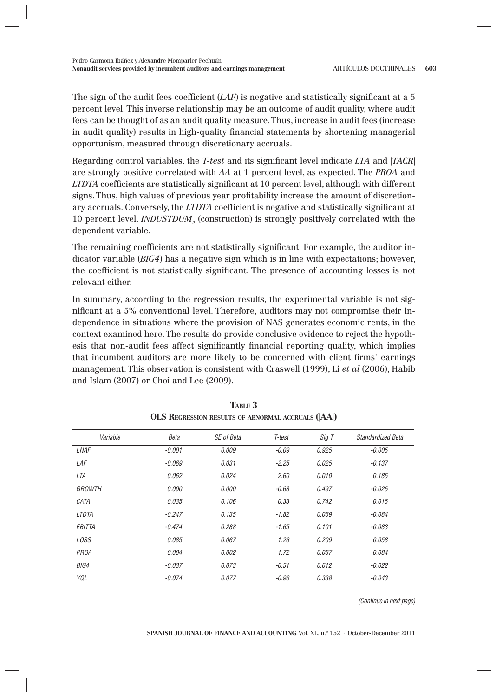The sign of the audit fees coefficient (*LAF*) is negative and statistically significant at a 5 percent level. This inverse relationship may be an outcome of audit quality, where audit fees can be thought of as an audit quality measure. Thus, increase in audit fees (increase in audit quality) results in high-quality financial statements by shortening managerial opportunism, measured through discretionary accruals.

Regarding control variables, the *T-test* and its significant level indicate *LTA* and *|TACR*| are strongly positive correlated with *AA* at 1 percent level, as expected. The *PROA* and *LTDTA* coefficients are statistically significant at 10 percent level, although with different signs. Thus, high values of previous year profitability increase the amount of discretionary accruals. Conversely, the *LTDTA* coefficient is negative and statistically significant at 10 percent level. *INDUSTDUM2* (construction) is strongly positively correlated with the dependent variable.

The remaining coefficients are not statistically significant. For example, the auditor indicator variable (*BIG4*) has a negative sign which is in line with expectations; however, the coefficient is not statistically significant. The presence of accounting losses is not relevant either.

In summary, according to the regression results, the experimental variable is not significant at a 5% conventional level. Therefore, auditors may not compromise their independence in situations where the provision of NAS generates economic rents, in the context examined here. The results do provide conclusive evidence to reject the hypothesis that non-audit fees affect significantly financial reporting quality, which implies that incumbent auditors are more likely to be concerned with client firms' earnings management. This observation is consistent with Craswell (1999), Li *et al* (2006), Habib and Islam (2007) or Choi and Lee (2009).

| Variable    | Beta     | SE of Beta | T-test  | Sig T | Standardized Beta |
|-------------|----------|------------|---------|-------|-------------------|
| LNAF        | $-0.001$ | 0.009      | $-0.09$ | 0.925 | $-0.005$          |
| LAF         | $-0.069$ | 0.031      | $-2.25$ | 0.025 | $-0.137$          |
| LTA         | 0.062    | 0.024      | 2.60    | 0.010 | 0.185             |
| GROWTH      | 0.000    | 0.000      | $-0.68$ | 0.497 | $-0.026$          |
| CATA        | 0.035    | 0.106      | 0.33    | 0.742 | 0.015             |
| LTDTA       | $-0.247$ | 0.135      | $-1.82$ | 0.069 | $-0.084$          |
| EBITTA      | $-0.474$ | 0.288      | $-1.65$ | 0.101 | $-0.083$          |
| <b>LOSS</b> | 0.085    | 0.067      | 1.26    | 0.209 | 0.058             |
| PROA        | 0.004    | 0.002      | 1.72    | 0.087 | 0.084             |
| BIG4        | $-0.037$ | 0.073      | $-0.51$ | 0.612 | $-0.022$          |
| YQL         | $-0.074$ | 0.077      | $-0.96$ | 0.338 | $-0.043$          |

| TABLE 3                                            |  |  |  |  |  |  |
|----------------------------------------------------|--|--|--|--|--|--|
| OLS REGRESSION RESULTS OF ABNORMAL ACCRUALS ([AA]) |  |  |  |  |  |  |

(Continue in next page)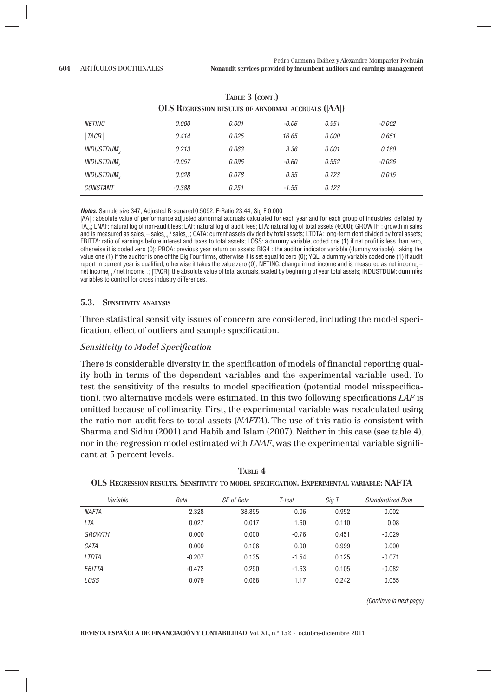| OLS REGRESSION RESULTS OF ABNORMAL ACCRUALS ([AA]) |          |       |         |       |          |  |  |
|----------------------------------------------------|----------|-------|---------|-------|----------|--|--|
| <b>NETINC</b>                                      | 0.000    | 0.001 | -0.06   | 0.951 | $-0.002$ |  |  |
| <b>TACR</b>                                        | 0.414    | 0.025 | 16.65   | 0.000 | 0.651    |  |  |
| INDUSTDUM,                                         | 0.213    | 0.063 | 3.36    | 0.001 | 0.160    |  |  |
| INDUSTDUM,                                         | $-0.057$ | 0.096 | $-0.60$ | 0.552 | $-0.026$ |  |  |
| INDUSTDUM,                                         | 0.028    | 0.078 | 0.35    | 0.723 | 0.015    |  |  |
| CONSTANT                                           | $-0.388$ | 0.251 | $-1.55$ | 0.123 |          |  |  |

| TABLE 3 (CONT.)                                   |  |
|---------------------------------------------------|--|
| OLS REGRESSION RESULTS OF ABNORMAL ACCRUALS ([AA] |  |

*Notes:* Sample size 347, Adjusted R-squared 0.5092, F-Ratio 23.44, Sig F 0.000

 $|AA|$ : absolute value of performance adjusted abnormal accruals calculated for each year and for each group of industries, deflated by<br>TA : I NAF: natural log of non-audit fees: LAF: natural log of audit fees: LTA: natura TAt-1; LNAF: natural log of non-audit fees; LAF: natural log of audit fees; LTA: natural log of total assets (€000); GROWTH : growth in sales and is measured as sales, – sales<sub>t-1</sub>, / sales<sub>t-1</sub>; CATA: current assets divided by total assets; LTDTA: long-term debt divided by total assets; EBITTA: ratio of earnings before interest and taxes to total assets; LOSS: a dummy variable, coded one (1) if net profit is less than zero, otherwise it is coded zero (0); PROA: previous year return on assets; BIG4 : the auditor indicator variable (dummy variable), taking the value one (1) if the auditor is one of the Big Four firms, otherwise it is set equal to zero (0); YQL: a dummy variable coded one (1) if audit report in current year is qualified, otherwise it takes the value zero (0); NETINC: change in net income and is measured as net income  $\epsilon$ net income<sub>t-1</sub>/net income<sub>t-1</sub>; |TACR|: the absolute value of total accruals, scaled by beginning of year total assets; INDUSTDUM: dummies variables to control for cross industry differences.

#### **5.3. SENSITIVITY ANALYSIS**

Three statistical sensitivity issues of concern are considered, including the model specification, effect of outliers and sample specification.

#### *Sensitivity to Model Specifi cation*

There is considerable diversity in the specification of models of financial reporting quality both in terms of the dependent variables and the experimental variable used. To test the sensitivity of the results to model specification (potential model misspecification), two alternative models were estimated. In this two following specifications *LAF* is omitted because of collinearity. First, the experimental variable was recalculated using the ratio non-audit fees to total assets (*NAFTA*). The use of this ratio is consistent with Sharma and Sidhu (2001) and Habib and Islam (2007). Neither in this case (see table 4), nor in the regression model estimated with *LNAF*, was the experimental variable significant at 5 percent levels.

| Variable     | Beta     | SE of Beta | T-test  | Sig T | Standardized Beta |
|--------------|----------|------------|---------|-------|-------------------|
| <b>NAFTA</b> | 2.328    | 38.895     | 0.06    | 0.952 | 0.002             |
| LTA          | 0.027    | 0.017      | 1.60    | 0.110 | 0.08              |
| GROWTH       | 0.000    | 0.000      | $-0.76$ | 0.451 | $-0.029$          |
| CATA         | 0.000    | 0.106      | 0.00    | 0.999 | 0.000             |
| <b>LTDTA</b> | $-0.207$ | 0.135      | $-1.54$ | 0.125 | $-0.071$          |
| EBITTA       | $-0.472$ | 0.290      | $-1.63$ | 0.105 | $-0.082$          |
| <i>LOSS</i>  | 0.079    | 0.068      | 1.17    | 0.242 | 0.055             |

**TABLE 4 OLS REGRESSION RESULTS. SENSITIVITY TO MODEL SPECIFICATION. EXPERIMENTAL VARIABLE: NAFTA**

(Continue in next page)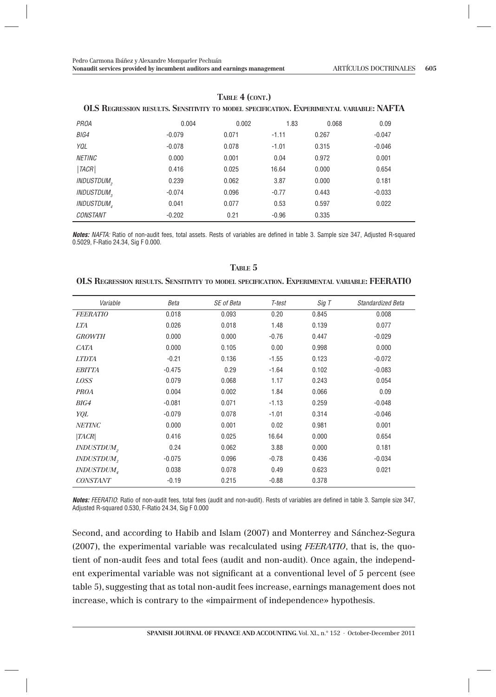| PROA                   | 0.004    | 0.002 | 1.83    | 0.068 | 0.09     |
|------------------------|----------|-------|---------|-------|----------|
| BIG4                   | $-0.079$ | 0.071 | $-1.11$ | 0.267 | $-0.047$ |
| YQL                    | $-0.078$ | 0.078 | $-1.01$ | 0.315 | $-0.046$ |
| <b>NETINC</b>          | 0.000    | 0.001 | 0.04    | 0.972 | 0.001    |
| TACR                   | 0.416    | 0.025 | 16.64   | 0.000 | 0.654    |
| INDUSTDUM <sub>2</sub> | 0.239    | 0.062 | 3.87    | 0.000 | 0.181    |
| INDUSTDUM,             | $-0.074$ | 0.096 | $-0.77$ | 0.443 | $-0.033$ |
| INDUSTDUM,             | 0.041    | 0.077 | 0.53    | 0.597 | 0.022    |
| CONSTANT               | $-0.202$ | 0.21  | $-0.96$ | 0.335 |          |

#### **TABLE 4 (CONT.)**

## **OLS REGRESSION RESULTS. SENSITIVITY TO MODEL SPECIFICATION. EXPERIMENTAL VARIABLE: NAFTA**

**Notes:** NAFTA: Ratio of non-audit fees, total assets. Rests of variables are defined in table 3. Sample size 347, Adjusted R-squared 0.5029, F-Ratio 24.34, Sig F 0.000.

#### **TABLE 5**

#### **OLS REGRESSION RESULTS. SENSITIVITY TO MODEL SPECIFICATION. EXPERIMENTAL VARIABLE: FEERATIO**

| Variable        | Beta     | SE of Beta | T-test  | SigT  | Standardized Beta |
|-----------------|----------|------------|---------|-------|-------------------|
| <b>FEERATIO</b> | 0.018    | 0.093      | 0.20    | 0.845 | 0.008             |
| LTA             | 0.026    | 0.018      | 1.48    | 0.139 | 0.077             |
| <b>GROWTH</b>   | 0.000    | 0.000      | $-0.76$ | 0.447 | $-0.029$          |
| <b>CATA</b>     | 0.000    | 0.105      | 0.00    | 0.998 | 0.000             |
| <i>LTDTA</i>    | $-0.21$  | 0.136      | $-1.55$ | 0.123 | $-0.072$          |
| EBITTA          | $-0.475$ | 0.29       | $-1.64$ | 0.102 | $-0.083$          |
| <b>LOSS</b>     | 0.079    | 0.068      | 1.17    | 0.243 | 0.054             |
| <b>PROA</b>     | 0.004    | 0.002      | 1.84    | 0.066 | 0.09              |
| BIG4            | $-0.081$ | 0.071      | $-1.13$ | 0.259 | $-0.048$          |
| YQL             | $-0.079$ | 0.078      | $-1.01$ | 0.314 | $-0.046$          |
| <b>NETINC</b>   | 0.000    | 0.001      | 0.02    | 0.981 | 0.001             |
| TACR            | 0.416    | 0.025      | 16.64   | 0.000 | 0.654             |
| INDUSTDUM,      | 0.24     | 0.062      | 3.88    | 0.000 | 0.181             |
| INDUSTDUM,      | $-0.075$ | 0.096      | $-0.78$ | 0.436 | $-0.034$          |
| INDUSTDUM,      | 0.038    | 0.078      | 0.49    | 0.623 | 0.021             |
| <b>CONSTANT</b> | $-0.19$  | 0.215      | $-0.88$ | 0.378 |                   |

Notes: FEERATIO: Ratio of non-audit fees, total fees (audit and non-audit). Rests of variables are defined in table 3. Sample size 347, Adjusted R-squared 0.530, F-Ratio 24.34, Sig F 0.000

Second, and according to Habib and Islam (2007) and Monterrey and Sánchez-Segura (2007), the experimental variable was recalculated using *FEERATIO*, that is, the quotient of non-audit fees and total fees (audit and non-audit). Once again, the independent experimental variable was not significant at a conventional level of 5 percent (see table 5), suggesting that as total non-audit fees increase, earnings management does not increase, which is contrary to the «impairment of independence» hypothesis.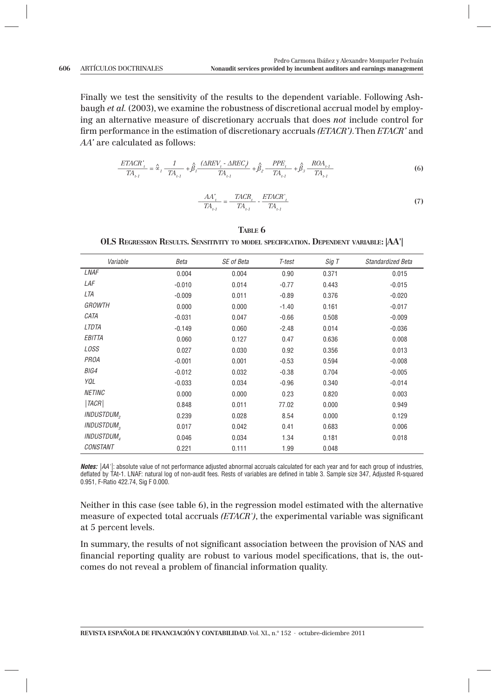Finally we test the sensitivity of the results to the dependent variable. Following Ashbaugh *et al.* (2003), we examine the robustness of discretional accrual model by employing an alternative measure of discretionary accruals that does *not* include control for firm performance in the estimation of discretionary accruals *(ETACR')*. Then *ETACR'* and *AA'* are calculated as follows:

$$
\frac{ETACR_t'}{TA_{t}} = \hat{\alpha}_1 \frac{1}{TA_{t}} + \hat{\beta}_1 \frac{(AREV_t - AREC_t)}{TA_{t}} + \hat{\beta}_2 \frac{PPE_t}{TA_{t}} + \hat{\beta}_3 \frac{ROA_{t}}{TA_{t}} \tag{6}
$$

$$
\frac{AA_t'}{TA_{t}} = \frac{TACR_t}{TA_{t-1}} - \frac{ETACR_t'}{TA_{t-1}}\tag{7}
$$

#### **TABLE 6 OLS REGRESSION RESULTS. SENSITIVITY TO MODEL SPECIFICATION. DEPENDENT VARIABLE: |AA'|**

| Variable                  | Beta     | SE of Beta | T-test  | Sig T | Standardized Beta |
|---------------------------|----------|------------|---------|-------|-------------------|
| LNAF                      | 0.004    | 0.004      | 0.90    | 0.371 | 0.015             |
| LAF                       | $-0.010$ | 0.014      | $-0.77$ | 0.443 | $-0.015$          |
| LTA                       | $-0.009$ | 0.011      | $-0.89$ | 0.376 | $-0.020$          |
| GROWTH                    | 0.000    | 0.000      | $-1.40$ | 0.161 | $-0.017$          |
| CATA                      | $-0.031$ | 0.047      | $-0.66$ | 0.508 | $-0.009$          |
| LTDTA                     | $-0.149$ | 0.060      | $-2.48$ | 0.014 | $-0.036$          |
| EBITTA                    | 0.060    | 0.127      | 0.47    | 0.636 | 0.008             |
| <b>LOSS</b>               | 0.027    | 0.030      | 0.92    | 0.356 | 0.013             |
| <b>PROA</b>               | $-0.001$ | 0.001      | $-0.53$ | 0.594 | $-0.008$          |
| BIG4                      | $-0.012$ | 0.032      | $-0.38$ | 0.704 | $-0.005$          |
| YQL                       | $-0.033$ | 0.034      | $-0.96$ | 0.340 | $-0.014$          |
| <b>NETINC</b>             | 0.000    | 0.000      | 0.23    | 0.820 | 0.003             |
| <b>TACR</b>               | 0.848    | 0.011      | 77.02   | 0.000 | 0.949             |
| <i><b>INDUSTDUM</b></i> , | 0.239    | 0.028      | 8.54    | 0.000 | 0.129             |
| <i><b>INDUSTDUM,</b></i>  | 0.017    | 0.042      | 0.41    | 0.683 | 0.006             |
| INDUSTDUM,                | 0.046    | 0.034      | 1.34    | 0.181 | 0.018             |
| CONSTANT                  | 0.221    | 0.111      | 1.99    | 0.048 |                   |

*Notes:* |AA'|: absolute value of not performance adjusted abnormal accruals calculated for each year and for each group of industries, deflated by TAt-1. LNAF: natural log of non-audit fees. Rests of variables are defined in table 3. Sample size 347, Adjusted R-squared 0.951, F-Ratio 422.74, Sig F 0.000.

Neither in this case (see table 6), in the regression model estimated with the alternative measure of expected total accruals *(ETACR')*, the experimental variable was significant at 5 percent levels.

In summary, the results of not significant association between the provision of NAS and financial reporting quality are robust to various model specifications, that is, the outcomes do not reveal a problem of financial information quality.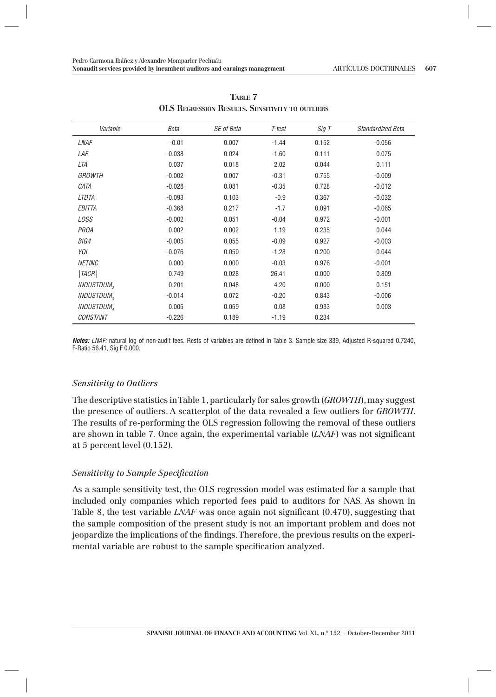| Variable                 | Beta     | SE of Beta | T-test  | Sig T | Standardized Beta |
|--------------------------|----------|------------|---------|-------|-------------------|
| LNAF                     | $-0.01$  | 0.007      | $-1.44$ | 0.152 | $-0.056$          |
| LAF                      | $-0.038$ | 0.024      | $-1.60$ | 0.111 | $-0.075$          |
| LTA                      | 0.037    | 0.018      | 2.02    | 0.044 | 0.111             |
| GROWTH                   | $-0.002$ | 0.007      | $-0.31$ | 0.755 | $-0.009$          |
| CATA                     | $-0.028$ | 0.081      | $-0.35$ | 0.728 | $-0.012$          |
| LTDTA                    | $-0.093$ | 0.103      | $-0.9$  | 0.367 | $-0.032$          |
| EBITTA                   | $-0.368$ | 0.217      | $-1.7$  | 0.091 | $-0.065$          |
| <b>LOSS</b>              | $-0.002$ | 0.051      | $-0.04$ | 0.972 | $-0.001$          |
| <b>PROA</b>              | 0.002    | 0.002      | 1.19    | 0.235 | 0.044             |
| BIG4                     | $-0.005$ | 0.055      | $-0.09$ | 0.927 | $-0.003$          |
| YQL                      | $-0.076$ | 0.059      | $-1.28$ | 0.200 | $-0.044$          |
| <b>NETINC</b>            | 0.000    | 0.000      | $-0.03$ | 0.976 | $-0.001$          |
| <b>TACR</b>              | 0.749    | 0.028      | 26.41   | 0.000 | 0.809             |
| INDUSTDUM,               | 0.201    | 0.048      | 4.20    | 0.000 | 0.151             |
| <i>INDUSTDUM,</i>        | $-0.014$ | 0.072      | $-0.20$ | 0.843 | $-0.006$          |
| <i><b>INDUSTDUM,</b></i> | 0.005    | 0.059      | 0.08    | 0.933 | 0.003             |
| CONSTANT                 | $-0.226$ | 0.189      | $-1.19$ | 0.234 |                   |

**TABLE 7 OLS REGRESSION RESULTS. SENSITIVITY TO OUTLIERS**

**Notes:** LNAF: natural log of non-audit fees. Rests of variables are defined in Table 3. Sample size 339, Adjusted R-squared 0.7240, F-Ratio 56.41, Sig F 0.000.

## *Sensitivity to Outliers*

The descriptive statistics in Table 1, particularly for sales growth (*GROWTH*), may suggest the presence of outliers. A scatterplot of the data revealed a few outliers for *GROWTH*. The results of re-performing the OLS regression following the removal of these outliers are shown in table 7. Once again, the experimental variable (*LNAF*) was not significant at 5 percent level (0.152).

## *Sensitivity to Sample Specification*

As a sample sensitivity test, the OLS regression model was estimated for a sample that included only companies which reported fees paid to auditors for NAS. As shown in Table 8, the test variable *LNAF* was once again not significant (0.470), suggesting that the sample composition of the present study is not an important problem and does not jeopardize the implications of the findings. Therefore, the previous results on the experimental variable are robust to the sample specification analyzed.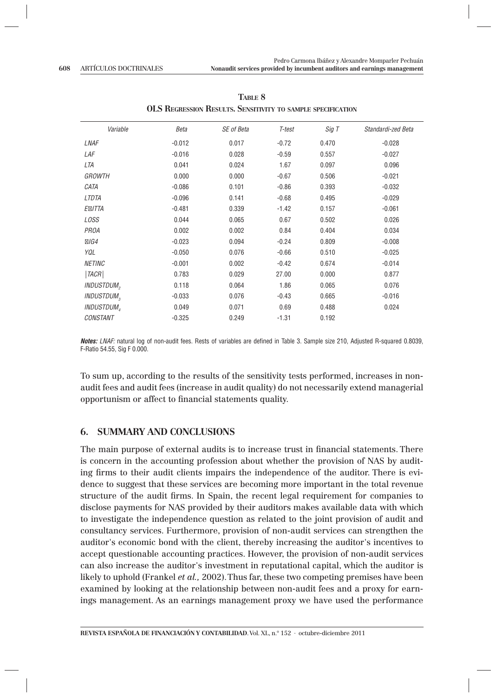| Variable                    | Beta     | SE of Beta | T-test  | Sig T | Standardi-zed Beta |
|-----------------------------|----------|------------|---------|-------|--------------------|
| LNAF                        | $-0.012$ | 0.017      | $-0.72$ | 0.470 | $-0.028$           |
| LAF                         | $-0.016$ | 0.028      | $-0.59$ | 0.557 | $-0.027$           |
| LTA                         | 0.041    | 0.024      | 1.67    | 0.097 | 0.096              |
| GROWTH                      | 0.000    | 0.000      | $-0.67$ | 0.506 | $-0.021$           |
| CATA                        | $-0.086$ | 0.101      | $-0.86$ | 0.393 | $-0.032$           |
| <b>LTDTA</b>                | $-0.096$ | 0.141      | $-0.68$ | 0.495 | $-0.029$           |
| <b>E</b> ⊠ITTA              | $-0.481$ | 0.339      | $-1.42$ | 0.157 | $-0.061$           |
| <b>LOSS</b>                 | 0.044    | 0.065      | 0.67    | 0.502 | 0.026              |
| PROA                        | 0.002    | 0.002      | 0.84    | 0.404 | 0.034              |
| $\boxtimes$ IG4             | $-0.023$ | 0.094      | $-0.24$ | 0.809 | $-0.008$           |
| YQL                         | $-0.050$ | 0.076      | $-0.66$ | 0.510 | $-0.025$           |
| <b>NETINC</b>               | $-0.001$ | 0.002      | $-0.42$ | 0.674 | $-0.014$           |
| $\vert$ <i>TACR</i> $\vert$ | 0.783    | 0.029      | 27.00   | 0.000 | 0.877              |
| INDUSTDUM,                  | 0.118    | 0.064      | 1.86    | 0.065 | 0.076              |
| <i><b>INDUSTDUM,</b></i>    | $-0.033$ | 0.076      | $-0.43$ | 0.665 | $-0.016$           |
| <i><b>INDUSTDUM,</b></i>    | 0.049    | 0.071      | 0.69    | 0.488 | 0.024              |
| CONSTANT                    | $-0.325$ | 0.249      | $-1.31$ | 0.192 |                    |

**TABLE 8 OLS REGRESSION RESULTS. SENSITIVITY TO SAMPLE SPECIFICATION**

Notes: LNAF: natural log of non-audit fees. Rests of variables are defined in Table 3. Sample size 210, Adjusted R-squared 0.8039, F-Ratio 54.55, Sig F 0.000.

To sum up, according to the results of the sensitivity tests performed, increases in nonaudit fees and audit fees (increase in audit quality) do not necessarily extend managerial opportunism or affect to financial statements quality.

## **6. SUMMARY AND CONCLUSIONS**

The main purpose of external audits is to increase trust in financial statements. There is concern in the accounting profession about whether the provision of NAS by auditing firms to their audit clients impairs the independence of the auditor. There is evidence to suggest that these services are becoming more important in the total revenue structure of the audit firms. In Spain, the recent legal requirement for companies to disclose payments for NAS provided by their auditors makes available data with which to investigate the independence question as related to the joint provision of audit and consultancy services. Furthermore, provision of non-audit services can strengthen the auditor's economic bond with the client, thereby increasing the auditor's incentives to accept questionable accounting practices. However, the provision of non-audit services can also increase the auditor's investment in reputational capital, which the auditor is likely to uphold (Frankel *et al.,* 2002). Thus far, these two competing premises have been examined by looking at the relationship between non-audit fees and a proxy for earnings management. As an earnings management proxy we have used the performance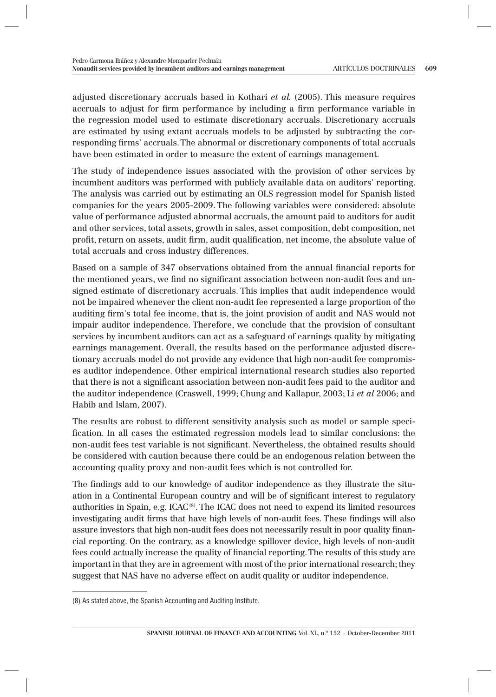adjusted discretionary accruals based in Kothari *et al.* (2005). This measure requires accruals to adjust for firm performance by including a firm performance variable in the regression model used to estimate discretionary accruals. Discretionary accruals are estimated by using extant accruals models to be adjusted by subtracting the corresponding firms' accruals. The abnormal or discretionary components of total accruals have been estimated in order to measure the extent of earnings management.

The study of independence issues associated with the provision of other services by incumbent auditors was performed with publicly available data on auditors' reporting. The analysis was carried out by estimating an OLS regression model for Spanish listed companies for the years 2005-2009. The following variables were considered: absolute value of performance adjusted abnormal accruals, the amount paid to auditors for audit and other services, total assets, growth in sales, asset composition, debt composition, net profit, return on assets, audit firm, audit qualification, net income, the absolute value of total accruals and cross industry differences.

Based on a sample of 347 observations obtained from the annual financial reports for the mentioned years, we find no significant association between non-audit fees and unsigned estimate of discretionary accruals. This implies that audit independence would not be impaired whenever the client non-audit fee represented a large proportion of the auditing firm's total fee income, that is, the joint provision of audit and NAS would not impair auditor independence. Therefore, we conclude that the provision of consultant services by incumbent auditors can act as a safeguard of earnings quality by mitigating earnings management. Overall, the results based on the performance adjusted discretionary accruals model do not provide any evidence that high non-audit fee compromises auditor independence. Other empirical international research studies also reported that there is not a significant association between non-audit fees paid to the auditor and the auditor independence (Craswell, 1999; Chung and Kallapur, 2003; Li *et al* 2006; and Habib and Islam, 2007).

The results are robust to different sensitivity analysis such as model or sample specification. In all cases the estimated regression models lead to similar conclusions: the non-audit fees test variable is not significant. Nevertheless, the obtained results should be considered with caution because there could be an endogenous relation between the accounting quality proxy and non-audit fees which is not controlled for.

The findings add to our knowledge of auditor independence as they illustrate the situation in a Continental European country and will be of significant interest to regulatory authorities in Spain, e.g. ICAC<sup>(8)</sup>. The ICAC does not need to expend its limited resources investigating audit firms that have high levels of non-audit fees. These findings will also assure investors that high non-audit fees does not necessarily result in poor quality financial reporting. On the contrary, as a knowledge spillover device, high levels of non-audit fees could actually increase the quality of financial reporting. The results of this study are important in that they are in agreement with most of the prior international research; they suggest that NAS have no adverse effect on audit quality or auditor independence.

<sup>(8)</sup> As stated above, the Spanish Accounting and Auditing Institute.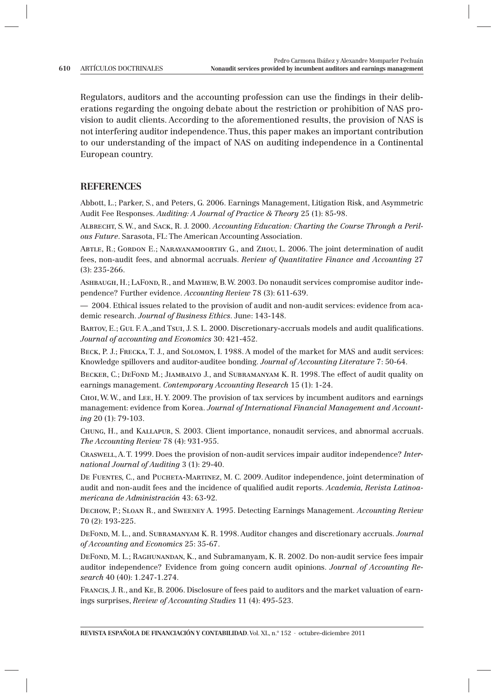Regulators, auditors and the accounting profession can use the findings in their deliberations regarding the ongoing debate about the restriction or prohibition of NAS provision to audit clients. According to the aforementioned results, the provision of NAS is not interfering auditor independence. Thus, this paper makes an important contribution to our understanding of the impact of NAS on auditing independence in a Continental European country.

## **REFERENCES**

Abbott, L.; Parker, S., and Peters, G. 2006. Earnings Management, Litigation Risk, and Asymmetric Audit Fee Responses. *Auditing: A Journal of Practice & Theory* 25 (1): 85-98.

Albrecht, S. W., and Sack, R. J. 2000. *Accounting Education: Charting the Course Through a Perilous Future*. Sarasota, FL: The American Accounting Association.

Abtle, R.; Gordon E.; Narayanamoorthy G., and Zhou, L. 2006. The joint determination of audit fees, non-audit fees, and abnormal accruals. *Review of Quantitative Finance and Accounting* 27 (3): 235-266.

ASHBAUGH, H.; LAFOND, R., and MAYHEW, B. W. 2003. Do nonaudit services compromise auditor independence? Further evidence. *Accounting Review* 78 (3): 611-639.

— 2004. Ethical issues related to the provision of audit and non-audit services: evidence from academic research. *Journal of Business Ethics*. June: 143-148.

BARTOV, E.; GUL F. A., and Tsui, J. S. L. 2000. Discretionary-accruals models and audit qualifications. *Journal of accounting and Economics* 30: 421-452.

Beck, P. J.; Frecka, T. J., and Solomon, I. 1988. A model of the market for MAS and audit services: Knowledge spillovers and auditor-auditee bonding. *Journal of Accounting Literature* 7: 50-64.

BECKER, C.; DEFOND M.; JIAMBALVO J., and SUBRAMANYAM K. R. 1998. The effect of audit quality on earnings management. *Contemporary Accounting Research* 15 (1): 1-24.

Choi, W. W., and Lee, H. Y. 2009. The provision of tax services by incumbent auditors and earnings management: evidence from Korea. *Journal of International Financial Management and Accounting* 20 (1): 79-103.

Chung, H., and Kallapur, S. 2003. Client importance, nonaudit services, and abnormal accruals. *The Accounting Review* 78 (4): 931-955.

Craswell, A. T. 1999. Does the provision of non-audit services impair auditor independence? *International Journal of Auditing* 3 (1): 29-40.

De Fuentes, C., and Pucheta-Martinez, M. C. 2009. Auditor independence, joint determination of audit and non-audit fees and the incidence of qualified audit reports. *Academia*, Revista Latinoa*mericana de Administración* 43: 63-92.

Dechow, P.; Sloan R., and Sweeney A. 1995. Detecting Earnings Management. *Accounting Review*  70 (2): 193-225.

DeFond, M. L., and. Subramanyam K. R. 1998. Auditor changes and discretionary accruals. *Journal of Accounting and Economics* 25: 35-67.

DeFond, M. L.; Raghunandan, K., and Subramanyam, K. R. 2002. Do non-audit service fees impair auditor independence? Evidence from going concern audit opinions. *Journal of Accounting Research* 40 (40): 1.247-1.274.

Francis, J. R., and Ke, B. 2006. Disclosure of fees paid to auditors and the market valuation of earnings surprises, *Review of Accounting Studies* 11 (4): 495-523.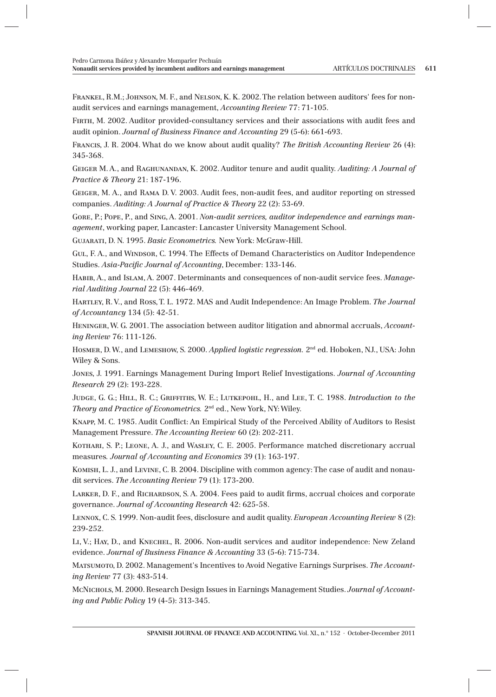Frankel, R.M.; Johnson, M. F., and Nelson, K. K. 2002. The relation between auditors' fees for nonaudit services and earnings management, *Accounting Review* 77: 71-105.

Firth, M. 2002. Auditor provided-consultancy services and their associations with audit fees and audit opinion. *Journal of Business Finance and Accounting* 29 (5-6): 661-693.

Francis, J. R. 2004. What do we know about audit quality? *The British Accounting Review* 26 (4): 345-368.

Geiger M. A., and Raghunandan, K. 2002. Auditor tenure and audit quality. *Auditing: A Journal of Practice & Theory* 21: 187-196.

Geiger, M. A., and Rama D. V. 2003. Audit fees, non-audit fees, and auditor reporting on stressed companies. *Auditing: A Journal of Practice & Theory* 22 (2): 53-69.

Gore, P.; Pope, P., and Sing, A. 2001. *Non-audit services, auditor independence and earnings management*, working paper, Lancaster: Lancaster University Management School.

Gujarati, D. N. 1995. *Basic Econometrics.* New York: McGraw-Hill.

GUL, F. A., and WINDSOR, C. 1994. The Effects of Demand Characteristics on Auditor Independence Studies. *Asia-Pacific Journal of Accounting*, December: 133-146.

Habib, A., and Islam, A. 2007. Determinants and consequences of non-audit service fees. *Managerial Auditing Journal* 22 (5): 446-469.

Hartley, R. V., and Ross, T. L. 1972. MAS and Audit Independence: An Image Problem. *The Journal of Accountancy* 134 (5): 42-51.

Heninger, W. G. 2001. The association between auditor litigation and abnormal accruals, *Accounting Review* 76: 111-126.

Hosmer, D. W., and Lemeshow, S. 2000. *Applied logistic regression.* 2nd ed. Hoboken, NJ., USA: John Wiley & Sons.

Jones, J. 1991. Earnings Management During Import Relief Investigations. *Journal of Accounting Research* 29 (2): 193-228.

Judge, G. G.; Hill, R. C.; Griffiths, W. E.; Lutkepohl, H., and Lee, T. C. 1988. *Introduction to the Theory and Practice of Econometrics.* 2nd ed., New York, NY: Wiley.

KNAPP, M. C. 1985. Audit Conflict: An Empirical Study of the Perceived Ability of Auditors to Resist Management Pressure. *The Accounting Review* 60 (2): 202-211.

Kothari, S. P.; Leone, A. J., and Wasley, C. E. 2005. Performance matched discretionary accrual measures*. Journal of Accounting and Economics* 39 (1): 163-197.

Komish, L. J., and Levine, C. B. 2004. Discipline with common agency: The case of audit and nonaudit services. *The Accounting Review* 79 (1): 173-200.

LARKER, D. F., and RICHARDSON, S. A. 2004. Fees paid to audit firms, accrual choices and corporate governance. *Journal of Accounting Research* 42: 625-58.

Lennox, C. S. 1999. Non-audit fees, disclosure and audit quality. *European Accounting Review* 8 (2): 239-252.

Li, V.; Hay, D., and KNECHEL, R. 2006. Non-audit services and auditor independence: New Zeland evidence. *Journal of Business Finance & Accounting* 33 (5-6): 715-734.

Matsumoto, D. 2002. Management's Incentives to Avoid Negative Earnings Surprises. *The Accounting Review* 77 (3): 483-514.

McNichols, M. 2000. Research Design Issues in Earnings Management Studies. *Journal of Accounting and Public Policy* 19 (4-5): 313-345.